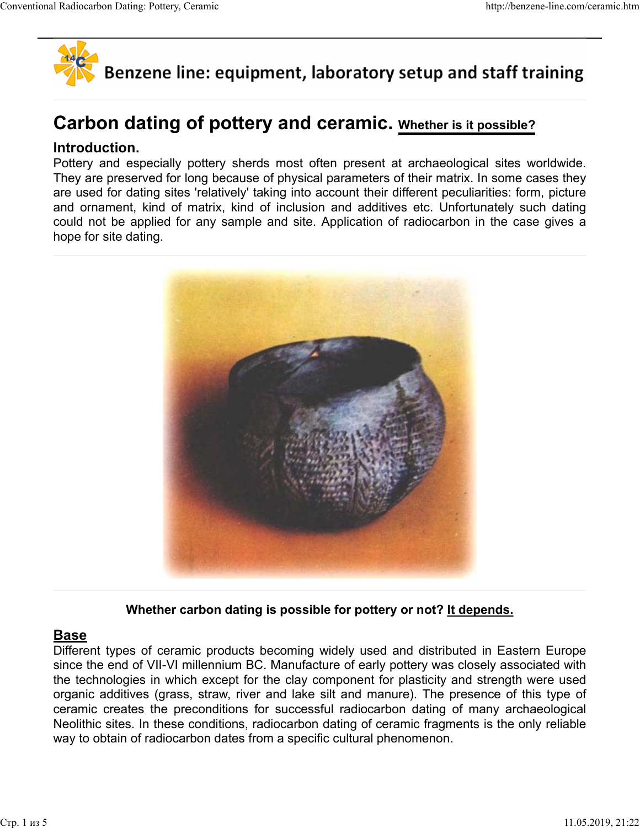

# Carbon dating of pottery and ceramic. Whether is it possible?

## Introduction.

Pottery and especially pottery sherds most often present at archaeological sites worldwide. They are preserved for long because of physical parameters of their matrix. In some cases they are used for dating sites 'relatively' taking into account their different peculiarities: form, picture and ornament, kind of matrix, kind of inclusion and additives etc. Unfortunately such dating could not be applied for any sample and site. Application of radiocarbon in the case gives a hope for site dating.



Whether carbon dating is possible for pottery or not? It depends.

# Base

Different types of ceramic products becoming widely used and distributed in Eastern Europe since the end of VII-VI millennium BC. Manufacture of early pottery was closely associated with the technologies in which except for the clay component for plasticity and strength were used organic additives (grass, straw, river and lake silt and manure). The presence of this type of ceramic creates the preconditions for successful radiocarbon dating of many archaeological Neolithic sites. In these conditions, radiocarbon dating of ceramic fragments is the only reliable way to obtain of radiocarbon dates from a specific cultural phenomenon.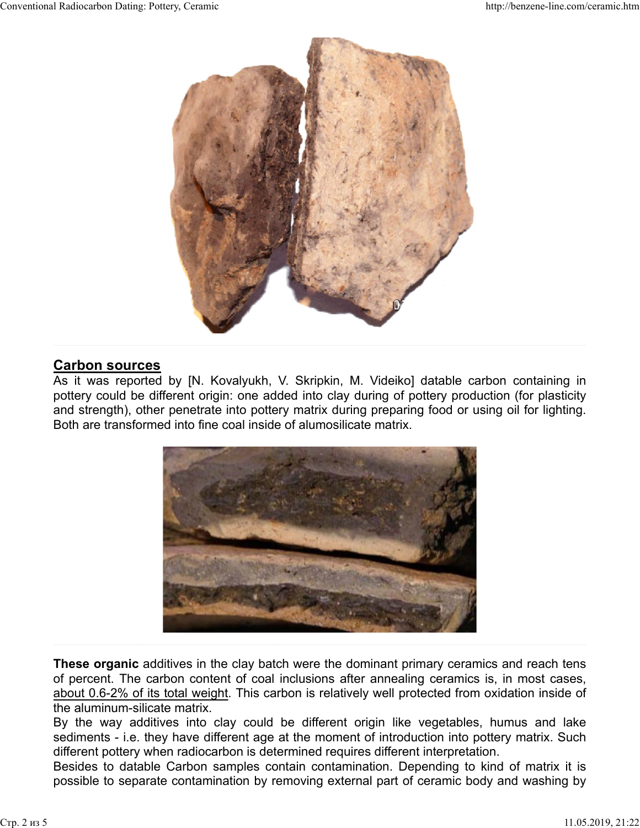

## Carbon sources

As it was reported by [N. Kovalyukh, V. Skripkin, M. Videiko] datable carbon containing in pottery could be different origin: one added into clay during of pottery production (for plasticity and strength), other penetrate into pottery matrix during preparing food or using oil for lighting. Both are transformed into fine coal inside of alumosilicate matrix.



These organic additives in the clay batch were the dominant primary ceramics and reach tens of percent. The carbon content of coal inclusions after annealing ceramics is, in most cases, about 0.6-2% of its total weight. This carbon is relatively well protected from oxidation inside of the aluminum-silicate matrix.

sediments - i.e. they have different age at the moment of introduction into pottery matrix. Such different pottery when radiocarbon is determined requires different interpretation.

Besides to datable Carbon samples contain contamination. Depending to kind of matrix it is possible to separate contamination by removing external part of ceramic body and washing by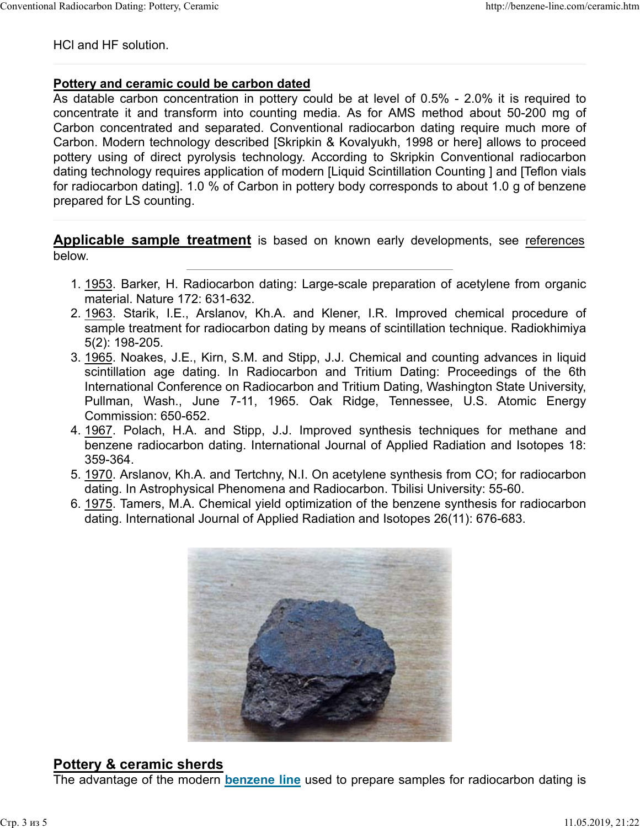HCl and HF solution.

#### Pottery and ceramic could be carbon dated

As datable carbon concentration in pottery could be at level of 0.5% - 2.0% it is required to concentrate it and transform into counting media. As for AMS method about 50-200 mg of Carbon concentrated and separated. Conventional radiocarbon dating require much more of Carbon. Modern technology described [Skripkin & Kovalyukh, 1998 or here] allows to proceed pottery using of direct pyrolysis technology. According to Skripkin Conventional radiocarbon dating technology requires application of modern [Liquid Scintillation Counting ] and [Teflon vials for radiocarbon dating]. 1.0 % of Carbon in pottery body corresponds to about 1.0 g of benzene prepared for LS counting. nd HF solution.<br> **ry and ceramic could be carbon dated**<br>
tatable carbon concentration in pottery could be at level of 0.5% - 2.0% it is required to<br>
tatable carbon concentrated and separated. Conventional radiocarbon datin scholar calib contention in puttery count of a level of the minimal capacity and the scinting of the capacite and separated. Conventional radiocarbon dating require much more of on concentrated and separated. Conventional In Concentrate and septarated. Conventional Tadiocarbon carding require mutch more or<br>In. Modern technology described [Skripkin & Kovalyukh, 1998 or here] allows to proceed<br>y using of direct pyrolysis technology. According

**Applicable sample treatment** is based on known early developments, see references below.

- 1. 1953. Barker, H. Radiocarbon dating: Large-scale preparation of acetylene from organic material. Nature 172: 631-632.
- sample treatment for radiocarbon dating by means of scintillation technique. Radiokhimiya 5(2): 198-205. 2. 1963. Starik, I.E., Arslanov, Kh.A. and Klener, I.R. Improved chemical procedure of
- 3. <u>1965</u>. Noakes, J.E., Kirn, S.M. and Stipp, J.J. Chemical and counting advances in liquid International Conference on Radiocarbon and Tritium Dating, Washington State University, Commission: 650-652. y asing of uneut- pyloysis economigly. Accounting to Skupinin Counting J and [Telon vials<br>idecarbon dating]. 1.0 % of Carbon in pottery body corresponds to about 1.0 g of benzene<br>red for LS counting.<br> **icable sample treatm**
- benzene radiocarbon dating. International Journal of Applied Radiation and Isotopes 18: 359-364. 4. 1967. Polach, H.A. and Stipp, J.J. Improved synthesis techniques for methane and
- 5. <u>1970</u>. Arslanov, Kh.A. and Tertchny, N.I. On acetylene synthesis from CO; for radiocarbon dating. In Astrophysical Phenomena and Radiocarbon. Tbilisi University: 55-60.
- 6. <u>1975</u>. Tamers, M.A. Chemical yield optimization of the benzene synthesis for radiocarbon dating. International Journal of Applied Radiation and Isotopes 26(11): 676-683.



# Pottery & ceramic sherds

The advantage of the modern **benzene line** used to prepare samples for radiocarbon dating is